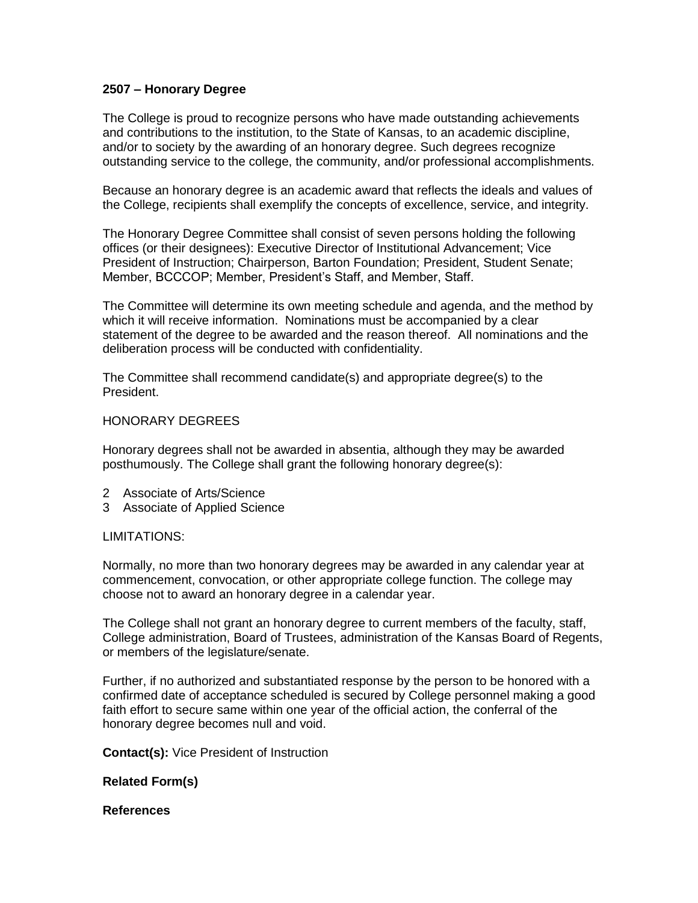# **2507 – Honorary Degree**

The College is proud to recognize persons who have made outstanding achievements and contributions to the institution, to the State of Kansas, to an academic discipline, and/or to society by the awarding of an honorary degree. Such degrees recognize outstanding service to the college, the community, and/or professional accomplishments.

Because an honorary degree is an academic award that reflects the ideals and values of the College, recipients shall exemplify the concepts of excellence, service, and integrity.

The Honorary Degree Committee shall consist of seven persons holding the following offices (or their designees): Executive Director of Institutional Advancement; Vice President of Instruction; Chairperson, Barton Foundation; President, Student Senate; Member, BCCCOP; Member, President's Staff, and Member, Staff.

The Committee will determine its own meeting schedule and agenda, and the method by which it will receive information. Nominations must be accompanied by a clear statement of the degree to be awarded and the reason thereof. All nominations and the deliberation process will be conducted with confidentiality.

The Committee shall recommend candidate(s) and appropriate degree(s) to the President.

### HONORARY DEGREES

Honorary degrees shall not be awarded in absentia, although they may be awarded posthumously. The College shall grant the following honorary degree(s):

- 2 Associate of Arts/Science
- 3 Associate of Applied Science

### LIMITATIONS:

Normally, no more than two honorary degrees may be awarded in any calendar year at commencement, convocation, or other appropriate college function. The college may choose not to award an honorary degree in a calendar year.

The College shall not grant an honorary degree to current members of the faculty, staff, College administration, Board of Trustees, administration of the Kansas Board of Regents, or members of the legislature/senate.

Further, if no authorized and substantiated response by the person to be honored with a confirmed date of acceptance scheduled is secured by College personnel making a good faith effort to secure same within one year of the official action, the conferral of the honorary degree becomes null and void.

**Contact(s):** Vice President of Instruction

# **Related Form(s)**

### **References**